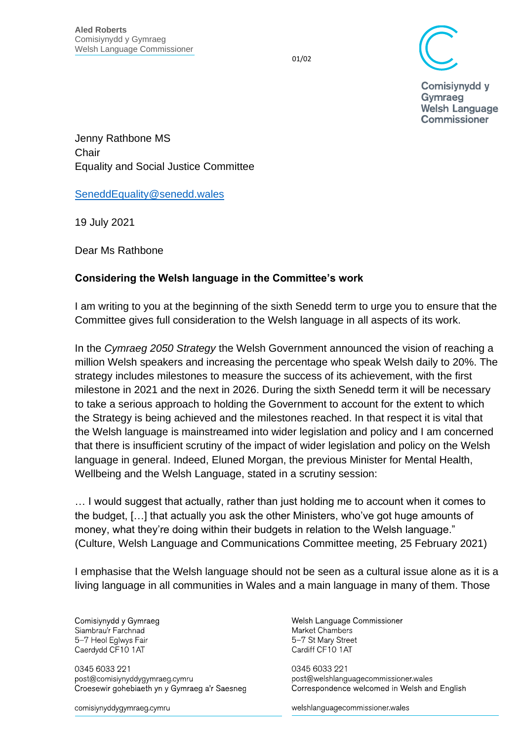01/02

**Comisivnydd v** Gymraeg **Welsh Language Commissioner** 

Jenny Rathbone MS **Chair** Equality and Social Justice Committee

[SeneddEquality@senedd.wales](mailto:SeneddEquality@senedd.wales)

19 July 2021

Dear Ms Rathbone

## **Considering the Welsh language in the Committee's work**

I am writing to you at the beginning of the sixth Senedd term to urge you to ensure that the Committee gives full consideration to the Welsh language in all aspects of its work.

In the *Cymraeg 2050 Strategy* the Welsh Government announced the vision of reaching a million Welsh speakers and increasing the percentage who speak Welsh daily to 20%. The strategy includes milestones to measure the success of its achievement, with the first milestone in 2021 and the next in 2026. During the sixth Senedd term it will be necessary to take a serious approach to holding the Government to account for the extent to which the Strategy is being achieved and the milestones reached. In that respect it is vital that the Welsh language is mainstreamed into wider legislation and policy and I am concerned that there is insufficient scrutiny of the impact of wider legislation and policy on the Welsh language in general. Indeed, Eluned Morgan, the previous Minister for Mental Health, Wellbeing and the Welsh Language, stated in a scrutiny session:

… I would suggest that actually, rather than just holding me to account when it comes to the budget, […] that actually you ask the other Ministers, who've got huge amounts of money, what they're doing within their budgets in relation to the Welsh language." (Culture, Welsh Language and Communications Committee meeting, 25 February 2021)

I emphasise that the Welsh language should not be seen as a cultural issue alone as it is a living language in all communities in Wales and a main language in many of them. Those

Comisiynydd y Gymraeg Siambrau'r Farchnad 5-7 Heol Eglwys Fair Caerdydd CF10 1AT

0345 6033 221 post@comisiynyddygymraeg.cymru Croesewir gohebiaeth yn y Gymraeg a'r Saesneg

comisiynyddygymraeg.cymru

Welsh Language Commissioner Market Chambers 5-7 St Mary Street Cardiff CF10 1AT

0345 6033 221 post@welshlanguagecommissioner.wales Correspondence welcomed in Welsh and English

welshlanguagecommissioner wales